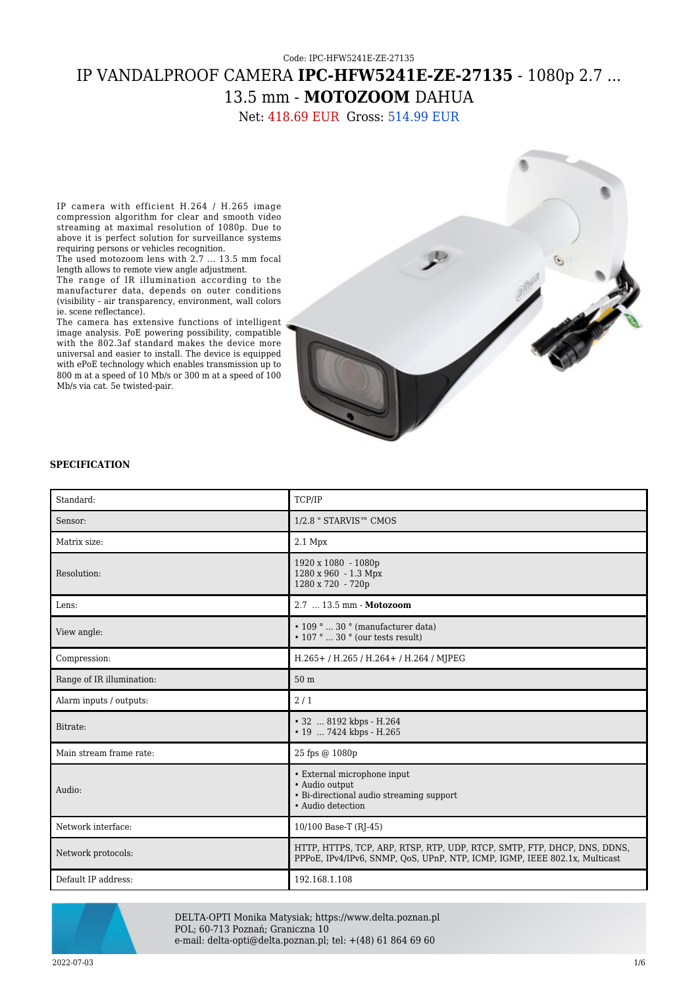# Code: IPC-HFW5241E-ZE-27135 IP VANDALPROOF CAMERA **IPC-HFW5241E-ZE-27135** - 1080p 2.7 ... 13.5 mm - **MOTOZOOM** DAHUA

Net: 418.69 EUR Gross: 514.99 EUR

IP camera with efficient H.264 / H.265 image compression algorithm for clear and smooth video streaming at maximal resolution of 1080p. Due to above it is perfect solution for surveillance systems requiring persons or vehicles recognition.

The used motozoom lens with 2.7 ... 13.5 mm focal length allows to remote view angle adjustment.

The range of IR illumination according to the manufacturer data, depends on outer conditions (visibility - air transparency, environment, wall colors ie. scene reflectance).

The camera has extensive functions of intelligent image analysis. PoE powering possibility, compatible with the 802.3af standard makes the device more universal and easier to install. The device is equipped with ePoE technology which enables transmission up to 800 m at a speed of 10 Mb/s or 300 m at a speed of 100 Mb/s via cat. 5e twisted-pair.



#### **SPECIFICATION**

| Standard:                 | TCP/IP                                                                                                                                                 |
|---------------------------|--------------------------------------------------------------------------------------------------------------------------------------------------------|
| Sensor:                   | 1/2.8 " STARVIS™ CMOS                                                                                                                                  |
| Matrix size:              | 2.1 Mpx                                                                                                                                                |
| Resolution:               | 1920 x 1080 - 1080p<br>1280 x 960 - 1.3 Mpx<br>1280 x 720 - 720p                                                                                       |
| Lens:                     | 2.7  13.5 mm - Motozoom                                                                                                                                |
| View angle:               | $\cdot$ 109 °  30 ° (manufacturer data)<br>$\cdot$ 107 °  30 ° (our tests result)                                                                      |
| Compression:              | H.265+/H.265/H.264+/H.264/MJPEG                                                                                                                        |
| Range of IR illumination: | 50 <sub>m</sub>                                                                                                                                        |
| Alarm inputs / outputs:   | 2/1                                                                                                                                                    |
| Bitrate:                  | • 32  8192 kbps - H.264<br>• 19  7424 kbps - H.265                                                                                                     |
| Main stream frame rate:   | 25 fps @ 1080p                                                                                                                                         |
| Audio:                    | • External microphone input<br>· Audio output<br>• Bi-directional audio streaming support<br>• Audio detection                                         |
| Network interface:        | 10/100 Base-T (RJ-45)                                                                                                                                  |
| Network protocols:        | HTTP, HTTPS, TCP, ARP, RTSP, RTP, UDP, RTCP, SMTP, FTP, DHCP, DNS, DDNS,<br>PPPoE, IPv4/IPv6, SNMP, OoS, UPnP, NTP, ICMP, IGMP, IEEE 802.1x, Multicast |
| Default IP address:       | 192.168.1.108                                                                                                                                          |



DELTA-OPTI Monika Matysiak; https://www.delta.poznan.pl POL; 60-713 Poznań; Graniczna 10 e-mail: delta-opti@delta.poznan.pl; tel: +(48) 61 864 69 60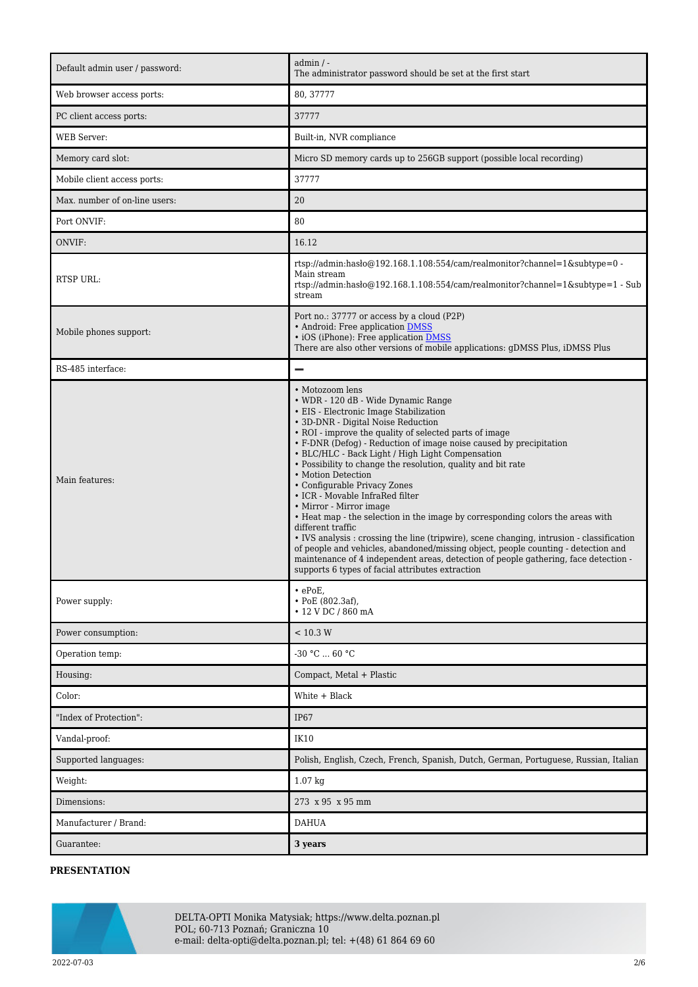| Default admin user / password: | $admin / -$<br>The administrator password should be set at the first start                                                                                                                                                                                                                                                                                                                                                                                                                                                                                                                                                                                                                                                                                                                                                                                                                                                                         |
|--------------------------------|----------------------------------------------------------------------------------------------------------------------------------------------------------------------------------------------------------------------------------------------------------------------------------------------------------------------------------------------------------------------------------------------------------------------------------------------------------------------------------------------------------------------------------------------------------------------------------------------------------------------------------------------------------------------------------------------------------------------------------------------------------------------------------------------------------------------------------------------------------------------------------------------------------------------------------------------------|
| Web browser access ports:      | 80, 37777                                                                                                                                                                                                                                                                                                                                                                                                                                                                                                                                                                                                                                                                                                                                                                                                                                                                                                                                          |
| PC client access ports:        | 37777                                                                                                                                                                                                                                                                                                                                                                                                                                                                                                                                                                                                                                                                                                                                                                                                                                                                                                                                              |
| WEB Server:                    | Built-in, NVR compliance                                                                                                                                                                                                                                                                                                                                                                                                                                                                                                                                                                                                                                                                                                                                                                                                                                                                                                                           |
| Memory card slot:              | Micro SD memory cards up to 256GB support (possible local recording)                                                                                                                                                                                                                                                                                                                                                                                                                                                                                                                                                                                                                                                                                                                                                                                                                                                                               |
| Mobile client access ports:    | 37777                                                                                                                                                                                                                                                                                                                                                                                                                                                                                                                                                                                                                                                                                                                                                                                                                                                                                                                                              |
| Max. number of on-line users:  | 20                                                                                                                                                                                                                                                                                                                                                                                                                                                                                                                                                                                                                                                                                                                                                                                                                                                                                                                                                 |
| Port ONVIF:                    | 80                                                                                                                                                                                                                                                                                                                                                                                                                                                                                                                                                                                                                                                                                                                                                                                                                                                                                                                                                 |
| ONVIF:                         | 16.12                                                                                                                                                                                                                                                                                                                                                                                                                                                                                                                                                                                                                                                                                                                                                                                                                                                                                                                                              |
| RTSP URL:                      | rtsp://admin:hasło@192.168.1.108:554/cam/realmonitor?channel=1&subtype=0 -<br>Main stream<br>rtsp://admin.hasho $@192.168.1.108.554$ /cam/realmonitor?channel=1&subtype=1 - Sub<br>stream                                                                                                                                                                                                                                                                                                                                                                                                                                                                                                                                                                                                                                                                                                                                                          |
| Mobile phones support:         | Port no.: 37777 or access by a cloud (P2P)<br>• Android: Free application DMSS<br>· iOS (iPhone): Free application DMSS<br>There are also other versions of mobile applications: gDMSS Plus, iDMSS Plus                                                                                                                                                                                                                                                                                                                                                                                                                                                                                                                                                                                                                                                                                                                                            |
| RS-485 interface:              | -                                                                                                                                                                                                                                                                                                                                                                                                                                                                                                                                                                                                                                                                                                                                                                                                                                                                                                                                                  |
| Main features:                 | • Motozoom lens<br>• WDR - 120 dB - Wide Dynamic Range<br>• EIS - Electronic Image Stabilization<br>• 3D-DNR - Digital Noise Reduction<br>• ROI - improve the quality of selected parts of image<br>• F-DNR (Defog) - Reduction of image noise caused by precipitation<br>• BLC/HLC - Back Light / High Light Compensation<br>• Possibility to change the resolution, quality and bit rate<br>• Motion Detection<br>• Configurable Privacy Zones<br>• ICR - Movable InfraRed filter<br>• Mirror - Mirror image<br>• Heat map - the selection in the image by corresponding colors the areas with<br>different traffic<br>• IVS analysis : crossing the line (tripwire), scene changing, intrusion - classification<br>of people and vehicles, abandoned/missing object, people counting - detection and<br>maintenance of 4 independent areas, detection of people gathering, face detection -<br>supports 6 types of facial attributes extraction |
| Power supply:                  | $\cdot$ ePoE,<br>$\cdot$ PoE (802.3af),<br>$\cdot$ 12 V DC / 860 mA                                                                                                                                                                                                                                                                                                                                                                                                                                                                                                                                                                                                                                                                                                                                                                                                                                                                                |
| Power consumption:             | < 10.3 W                                                                                                                                                                                                                                                                                                                                                                                                                                                                                                                                                                                                                                                                                                                                                                                                                                                                                                                                           |
| Operation temp:                | $-30 °C  60 °C$                                                                                                                                                                                                                                                                                                                                                                                                                                                                                                                                                                                                                                                                                                                                                                                                                                                                                                                                    |
| Housing:                       | Compact, Metal + Plastic                                                                                                                                                                                                                                                                                                                                                                                                                                                                                                                                                                                                                                                                                                                                                                                                                                                                                                                           |
| Color:                         | White + Black                                                                                                                                                                                                                                                                                                                                                                                                                                                                                                                                                                                                                                                                                                                                                                                                                                                                                                                                      |
| "Index of Protection":         | <b>IP67</b>                                                                                                                                                                                                                                                                                                                                                                                                                                                                                                                                                                                                                                                                                                                                                                                                                                                                                                                                        |
| Vandal-proof:                  | IK10                                                                                                                                                                                                                                                                                                                                                                                                                                                                                                                                                                                                                                                                                                                                                                                                                                                                                                                                               |
| Supported languages:           | Polish, English, Czech, French, Spanish, Dutch, German, Portuguese, Russian, Italian                                                                                                                                                                                                                                                                                                                                                                                                                                                                                                                                                                                                                                                                                                                                                                                                                                                               |
| Weight:                        | $1.07$ kg                                                                                                                                                                                                                                                                                                                                                                                                                                                                                                                                                                                                                                                                                                                                                                                                                                                                                                                                          |
| Dimensions:                    | 273 x 95 x 95 mm                                                                                                                                                                                                                                                                                                                                                                                                                                                                                                                                                                                                                                                                                                                                                                                                                                                                                                                                   |
| Manufacturer / Brand:          | <b>DAHUA</b>                                                                                                                                                                                                                                                                                                                                                                                                                                                                                                                                                                                                                                                                                                                                                                                                                                                                                                                                       |
| Guarantee:                     | 3 years                                                                                                                                                                                                                                                                                                                                                                                                                                                                                                                                                                                                                                                                                                                                                                                                                                                                                                                                            |

## **PRESENTATION**



DELTA-OPTI Monika Matysiak; https://www.delta.poznan.pl POL; 60-713 Poznań; Graniczna 10 e-mail: delta-opti@delta.poznan.pl; tel: +(48) 61 864 69 60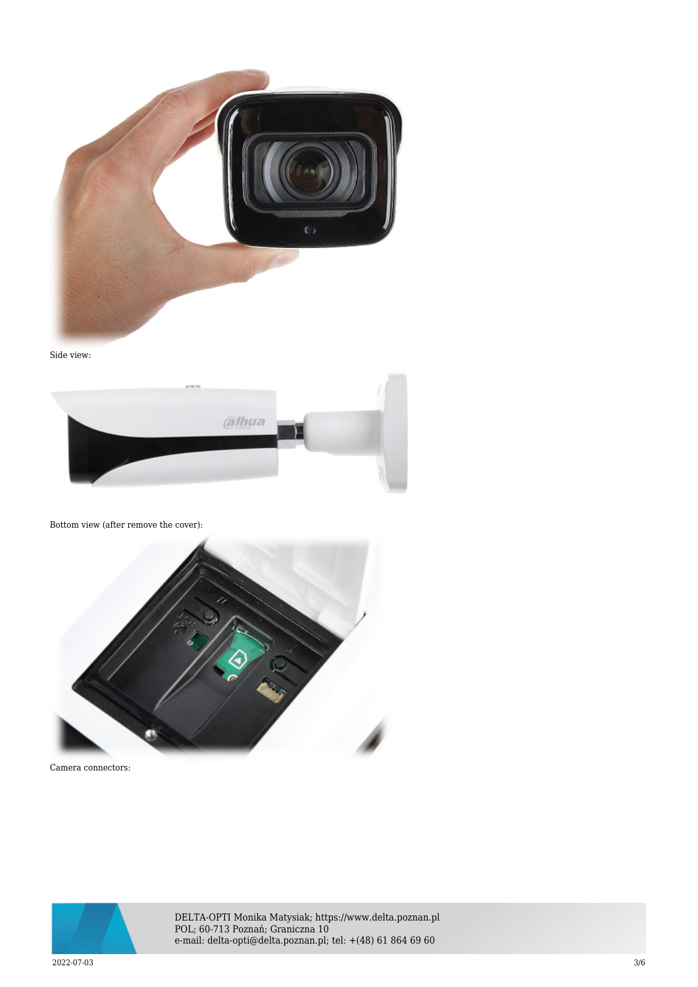

Side view:



#### Bottom view (after remove the cover):



Camera connectors:



DELTA-OPTI Monika Matysiak; https://www.delta.poznan.pl POL; 60-713 Poznań; Graniczna 10 e-mail: delta-opti@delta.poznan.pl; tel: +(48) 61 864 69 60

 $2022$ -07-03  $3/6$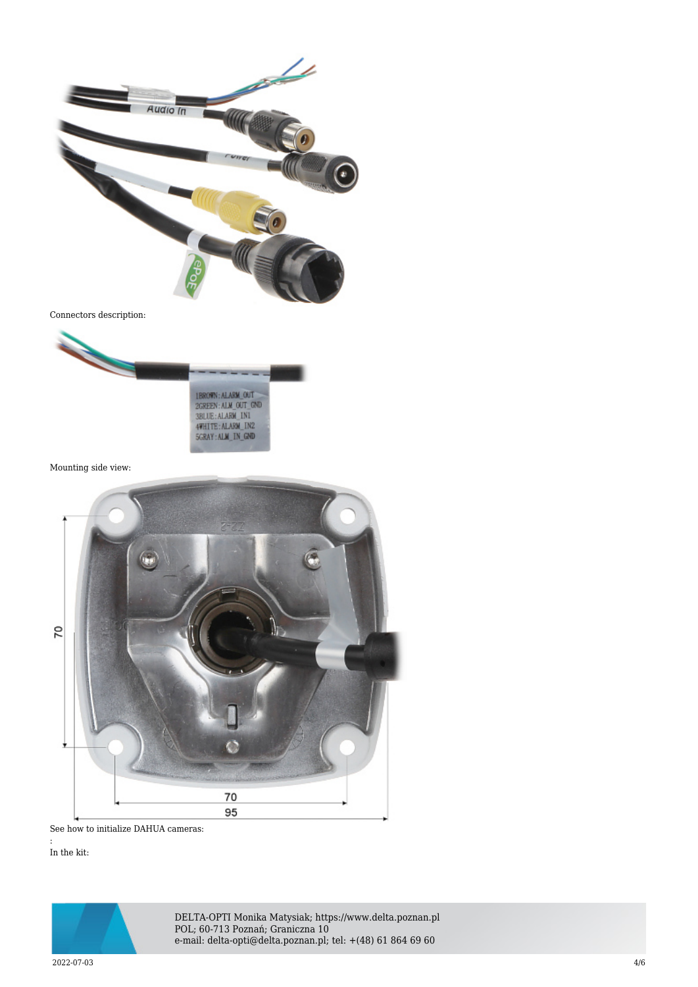

Connectors description:



Mounting side view:



See how to initialize DAHUA cameras:

In the kit:

:



DELTA-OPTI Monika Matysiak; https://www.delta.poznan.pl POL; 60-713 Poznań; Graniczna 10 e-mail: delta-opti@delta.poznan.pl; tel: +(48) 61 864 69 60

 $2022$ -07-03  $4/6$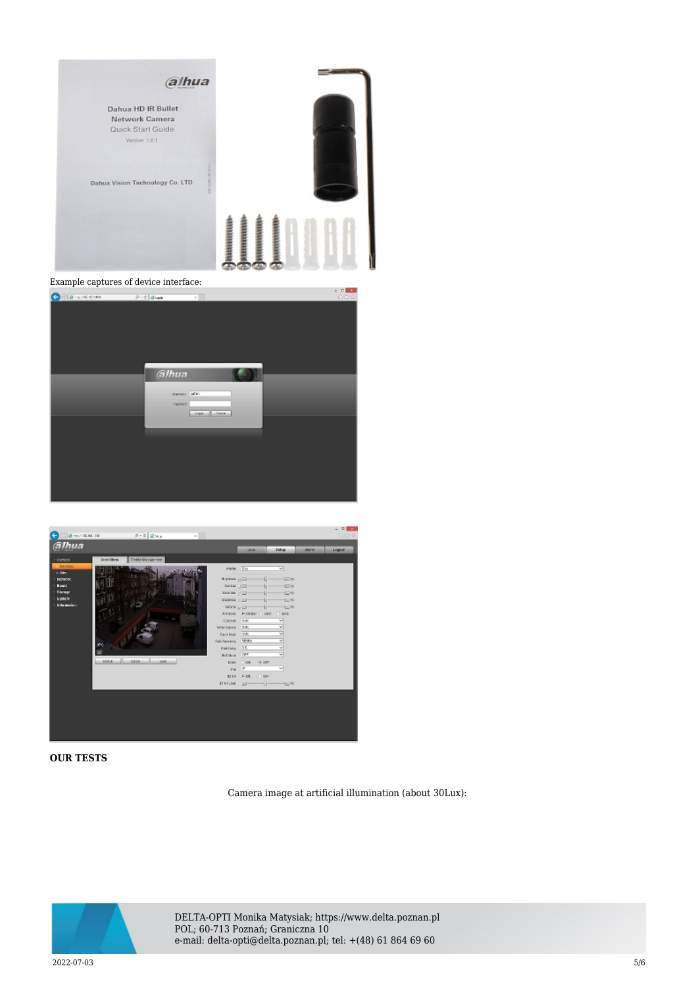

| COD STREET 215 Blue | $\sim$ $\times$     | 0.0.5 |
|---------------------|---------------------|-------|
|                     |                     |       |
|                     |                     |       |
|                     |                     |       |
|                     |                     |       |
|                     |                     |       |
|                     |                     |       |
|                     |                     |       |
|                     |                     |       |
|                     |                     |       |
|                     | alhua               |       |
|                     |                     |       |
|                     |                     |       |
|                     | <b>Banker, Mary</b> |       |
|                     | PAIROD              |       |
|                     | Light Canal         |       |
|                     |                     |       |
|                     |                     |       |
|                     |                     |       |
|                     |                     |       |
|                     |                     |       |
|                     |                     |       |
|                     |                     |       |
|                     |                     |       |
|                     |                     |       |
|                     |                     |       |
|                     |                     |       |



#### **OUR TESTS**

Camera image at artificial illumination (about 30Lux):



DELTA-OPTI Monika Matysiak; https://www.delta.poznan.pl POL; 60-713 Poznań; Graniczna 10 e-mail: delta-opti@delta.poznan.pl; tel: +(48) 61 864 69 60

 $2022$ -07-03  $5/6$